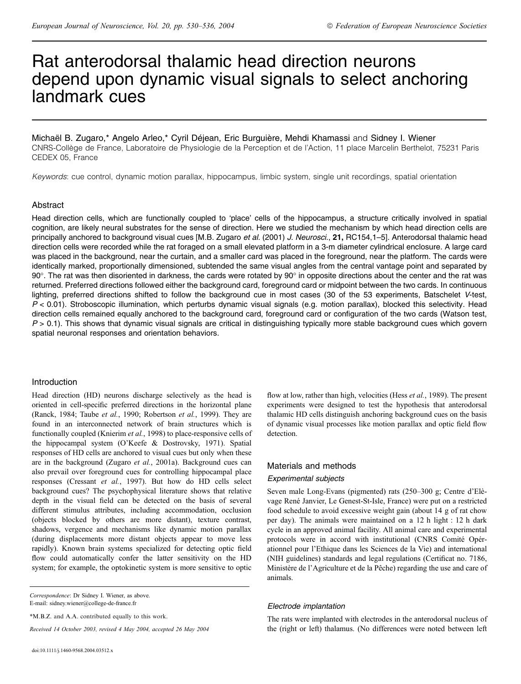# Rat anterodorsal thalamic head direction neurons depend upon dynamic visual signals to select anchoring landmark cues

Michaël B. Zugaro,\* Angelo Arleo,\* Cyril Déjean, Eric Burguière, Mehdi Khamassi and Sidney I. Wiener CNRS-Colle`ge de France, Laboratoire de Physiologie de la Perception et de l'Action, 11 place Marcelin Berthelot, 75231 Paris CEDEX 05, France

Keywords: cue control, dynamic motion parallax, hippocampus, limbic system, single unit recordings, spatial orientation

#### Abstract

Head direction cells, which are functionally coupled to 'place' cells of the hippocampus, a structure critically involved in spatial cognition, are likely neural substrates for the sense of direction. Here we studied the mechanism by which head direction cells are principally anchored to background visual cues [M.B. Zugaro et al. (2001) J. Neurosci., 21, RC154,1-5]. Anterodorsal thalamic head direction cells were recorded while the rat foraged on a small elevated platform in a 3-m diameter cylindrical enclosure. A large card was placed in the background, near the curtain, and a smaller card was placed in the foreground, near the platform. The cards were identically marked, proportionally dimensioned, subtended the same visual angles from the central vantage point and separated by  $90^\circ$ . The rat was then disoriented in darkness, the cards were rotated by  $90^\circ$  in opposite directions about the center and the rat was returned. Preferred directions followed either the background card, foreground card or midpoint between the two cards. In continuous lighting, preferred directions shifted to follow the background cue in most cases (30 of the 53 experiments, Batschelet V-test, P < 0.01). Stroboscopic illumination, which perturbs dynamic visual signals (e.g. motion parallax), blocked this selectivity. Head direction cells remained equally anchored to the background card, foreground card or configuration of the two cards (Watson test,  $P > 0.1$ ). This shows that dynamic visual signals are critical in distinguishing typically more stable background cues which govern spatial neuronal responses and orientation behaviors.

#### Introduction

Head direction (HD) neurons discharge selectively as the head is oriented in cell-specific preferred directions in the horizontal plane (Ranck, 1984; Taube et al., 1990; Robertson et al., 1999). They are found in an interconnected network of brain structures which is functionally coupled (Knierim et al., 1998) to place-responsive cells of the hippocampal system (O'Keefe & Dostrovsky, 1971). Spatial responses of HD cells are anchored to visual cues but only when these are in the background (Zugaro et al., 2001a). Background cues can also prevail over foreground cues for controlling hippocampal place responses (Cressant et al., 1997). But how do HD cells select background cues? The psychophysical literature shows that relative depth in the visual field can be detected on the basis of several different stimulus attributes, including accommodation, occlusion (objects blocked by others are more distant), texture contrast, shadows, vergence and mechanisms like dynamic motion parallax (during displacements more distant objects appear to move less rapidly). Known brain systems specialized for detecting optic field flow could automatically confer the latter sensitivity on the HD system; for example, the optokinetic system is more sensitive to optic

\*M.B.Z. and A.A. contributed equally to this work.

Received 14 October 2003, revised 4 May 2004, accepted 26 May 2004

flow at low, rather than high, velocities (Hess et al., 1989). The present experiments were designed to test the hypothesis that anterodorsal thalamic HD cells distinguish anchoring background cues on the basis of dynamic visual processes like motion parallax and optic field flow detection.

# Materials and methods

# Experimental subjects

Seven male Long-Evans (pigmented) rats (250–300 g; Centre d'Ele` vage René Janvier, Le Genest-St-Isle, France) were put on a restricted food schedule to avoid excessive weight gain (about 14 g of rat chow per day). The animals were maintained on a 12 h light : 12 h dark cycle in an approved animal facility. All animal care and experimental protocols were in accord with institutional (CNRS Comité Opérationnel pour l'Ethique dans les Sciences de la Vie) and international (NIH guidelines) standards and legal regulations (Certificat no. 7186, Ministère de l'Agriculture et de la Pêche) regarding the use and care of animals.

#### Electrode implantation

The rats were implanted with electrodes in the anterodorsal nucleus of the (right or left) thalamus. (No differences were noted between left

Correspondence: Dr Sidney I. Wiener, as above. E-mail: sidney.wiener@college-de-france.fr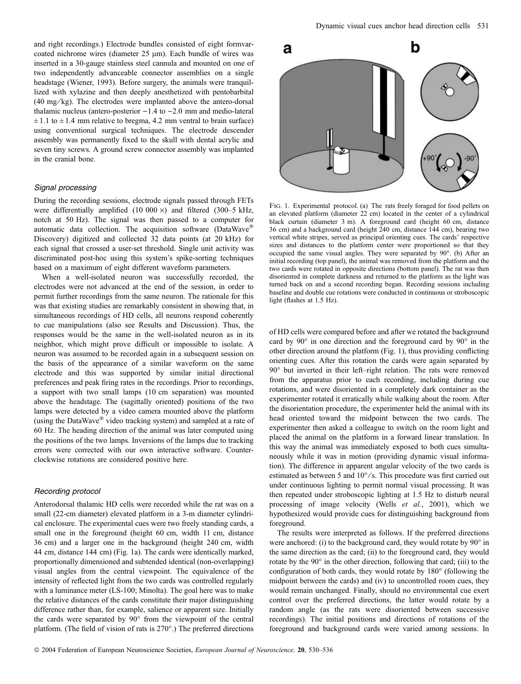and right recordings.) Electrode bundles consisted of eight formvarcoated nichrome wires (diameter  $25 \mu m$ ). Each bundle of wires was inserted in a 30-gauge stainless steel cannula and mounted on one of two independently advanceable connector assemblies on a single headstage (Wiener, 1993). Before surgery, the animals were tranquillized with xylazine and then deeply anesthetized with pentobarbital  $(40 \text{ mg/kg})$ . The electrodes were implanted above the antero-dorsal thalamic nucleus (antero-posterior  $-1.4$  to  $-2.0$  mm and medio-lateral  $\pm$  1.1 to  $\pm$  1.4 mm relative to bregma, 4.2 mm ventral to brain surface) using conventional surgical techniques. The electrode descender assembly was permanently fixed to the skull with dental acrylic and seven tiny screws. A ground screw connector assembly was implanted in the cranial bone.

## Signal processing

During the recording sessions, electrode signals passed through FETs were differentially amplified  $(10\ 000 \times)$  and filtered  $(300-5\ \text{kHz})$ , notch at 50 Hz). The signal was then passed to a computer for automatic data collection. The acquisition software (DataWave® Discovery) digitized and collected 32 data points (at 20 kHz) for each signal that crossed a user-set threshold. Single unit activity was discriminated post-hoc using this system's spike-sorting techniques based on a maximum of eight different waveform parameters.

When a well-isolated neuron was successfully recorded, the electrodes were not advanced at the end of the session, in order to permit further recordings from the same neuron. The rationale for this was that existing studies are remarkably consistent in showing that, in simultaneous recordings of HD cells, all neurons respond coherently to cue manipulations (also see Results and Discussion). Thus, the responses would be the same in the well-isolated neuron as in its neighbor, which might prove difficult or impossible to isolate. A neuron was assumed to be recorded again in a subsequent session on the basis of the appearance of a similar waveform on the same electrode and this was supported by similar initial directional preferences and peak firing rates in the recordings. Prior to recordings, a support with two small lamps (10 cm separation) was mounted above the headstage. The (sagittally oriented) positions of the two lamps were detected by a video camera mounted above the platform (using the DataWave® video tracking system) and sampled at a rate of 60 Hz. The heading direction of the animal was later computed using the positions of the two lamps. Inversions of the lamps due to tracking errors were corrected with our own interactive software. Counterclockwise rotations are considered positive here.

#### Recording protocol

Anterodorsal thalamic HD cells were recorded while the rat was on a small (22-cm diameter) elevated platform in a 3-m diameter cylindrical enclosure. The experimental cues were two freely standing cards, a small one in the foreground (height 60 cm, width 11 cm, distance 36 cm) and a larger one in the background (height 240 cm, width 44 cm, distance 144 cm) (Fig. 1a). The cards were identically marked, proportionally dimensioned and subtended identical (non-overlapping) visual angles from the central viewpoint. The equivalence of the intensity of reflected light from the two cards was controlled regularly with a luminance meter (LS-100; Minolta). The goal here was to make the relative distances of the cards constitute their major distinguishing difference rather than, for example, salience or apparent size. Initially the cards were separated by  $90^\circ$  from the viewpoint of the central platform. (The field of vision of rats is  $270^{\circ}$ .) The preferred directions



Fig. 1. Experimental protocol. (a) The rats freely foraged for food pellets on an elevated platform (diameter 22 cm) located in the center of a cylindrical black curtain (diameter 3 m). A foreground card (height 60 cm, distance 36 cm) and a background card (height 240 cm, distance 144 cm), bearing two vertical white stripes, served as principal orienting cues. The cards' respective sizes and distances to the platform center were proportioned so that they occupied the same visual angles. They were separated by 90° (b) After an initial recording (top panel), the animal was removed from the platform and the two cards were rotated in opposite directions (bottom panel). The rat was then disoriented in complete darkness and returned to the platform as the light was turned back on and a second recording began. Recording sessions including baseline and double cue rotations were conducted in continuous or stroboscopic light (flashes at 1.5 Hz).

of HD cells were compared before and after we rotated the background card by  $90^\circ$  in one direction and the foreground card by  $90^\circ$  in the other direction around the platform (Fig. 1), thus providing conflicting orienting cues. After this rotation the cards were again separated by 90° but inverted in their left-right relation. The rats were removed from the apparatus prior to each recording, including during cue rotations, and were disoriented in a completely dark container as the experimenter rotated it erratically while walking about the room. After the disorientation procedure, the experimenter held the animal with its head oriented toward the midpoint between the two cards. The experimenter then asked a colleague to switch on the room light and placed the animal on the platform in a forward linear translation. In this way the animal was immediately exposed to both cues simultaneously while it was in motion (providing dynamic visual information). The difference in apparent angular velocity of the two cards is estimated as between 5 and  $10^{\circ}/s$ . This procedure was first carried out under continuous lighting to permit normal visual processing. It was then repeated under stroboscopic lighting at 1.5 Hz to disturb neural processing of image velocity (Wells et al., 2001), which we hypothesized would provide cues for distinguishing background from foreground.

The results were interpreted as follows. If the preferred directions were anchored: (i) to the background card, they would rotate by  $90^\circ$  in the same direction as the card; (ii) to the foreground card, they would rotate by the 90° in the other direction, following that card; (iii) to the configuration of both cards, they would rotate by  $180^\circ$  (following the midpoint between the cards) and (iv) to uncontrolled room cues, they would remain unchanged. Finally, should no environmental cue exert control over the preferred directions, the latter would rotate by a random angle (as the rats were disoriented between successive recordings). The initial positions and directions of rotations of the foreground and background cards were varied among sessions. In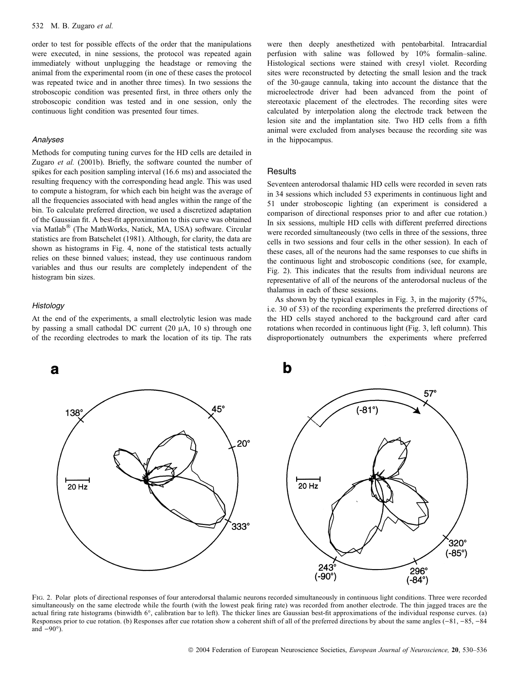order to test for possible effects of the order that the manipulations were executed, in nine sessions, the protocol was repeated again immediately without unplugging the headstage or removing the animal from the experimental room (in one of these cases the protocol was repeated twice and in another three times). In two sessions the stroboscopic condition was presented first, in three others only the stroboscopic condition was tested and in one session, only the continuous light condition was presented four times.

#### Analyses

Methods for computing tuning curves for the HD cells are detailed in Zugaro et al. (2001b). Briefly, the software counted the number of spikes for each position sampling interval (16.6 ms) and associated the resulting frequency with the corresponding head angle. This was used to compute a histogram, for which each bin height was the average of all the frequencies associated with head angles within the range of the bin. To calculate preferred direction, we used a discretized adaptation of the Gaussian fit. A best-fit approximation to this curve was obtained via Matlab<sup>®</sup> (The MathWorks, Natick, MA, USA) software. Circular statistics are from Batschelet (1981). Although, for clarity, the data are shown as histograms in Fig. 4, none of the statistical tests actually relies on these binned values; instead, they use continuous random variables and thus our results are completely independent of the histogram bin sizes.

## **Histology**

At the end of the experiments, a small electrolytic lesion was made by passing a small cathodal DC current  $(20 \mu A, 10 \text{ s})$  through one of the recording electrodes to mark the location of its tip. The rats were then deeply anesthetized with pentobarbital. Intracardial perfusion with saline was followed by 10% formalin–saline. Histological sections were stained with cresyl violet. Recording sites were reconstructed by detecting the small lesion and the track of the 30-gauge cannula, taking into account the distance that the microelectrode driver had been advanced from the point of stereotaxic placement of the electrodes. The recording sites were calculated by interpolation along the electrode track between the lesion site and the implantation site. Two HD cells from a fifth animal were excluded from analyses because the recording site was in the hippocampus.

## **Results**

Seventeen anterodorsal thalamic HD cells were recorded in seven rats in 34 sessions which included 53 experiments in continuous light and 51 under stroboscopic lighting (an experiment is considered a comparison of directional responses prior to and after cue rotation.) In six sessions, multiple HD cells with different preferred directions were recorded simultaneously (two cells in three of the sessions, three cells in two sessions and four cells in the other session). In each of these cases, all of the neurons had the same responses to cue shifts in the continuous light and stroboscopic conditions (see, for example, Fig. 2). This indicates that the results from individual neurons are representative of all of the neurons of the anterodorsal nucleus of the thalamus in each of these sessions.

As shown by the typical examples in Fig. 3, in the majority (57%, i.e. 30 of 53) of the recording experiments the preferred directions of the HD cells stayed anchored to the background card after card rotations when recorded in continuous light (Fig. 3, left column). This disproportionately outnumbers the experiments where preferred



Fig. 2. Polar plots of directional responses of four anterodorsal thalamic neurons recorded simultaneously in continuous light conditions. Three were recorded simultaneously on the same electrode while the fourth (with the lowest peak firing rate) was recorded from another electrode. The thin jagged traces are the actual firing rate histograms (binwidth 6°, calibration bar to left). The thicker lines are Gaussian best-fit approximations of the individual response curves. (a) Responses prior to cue rotation. (b) Responses after cue rotation show a coherent shift of all of the preferred directions by about the same angles  $(-81, -85, -84)$ and  $-90^\circ$ ).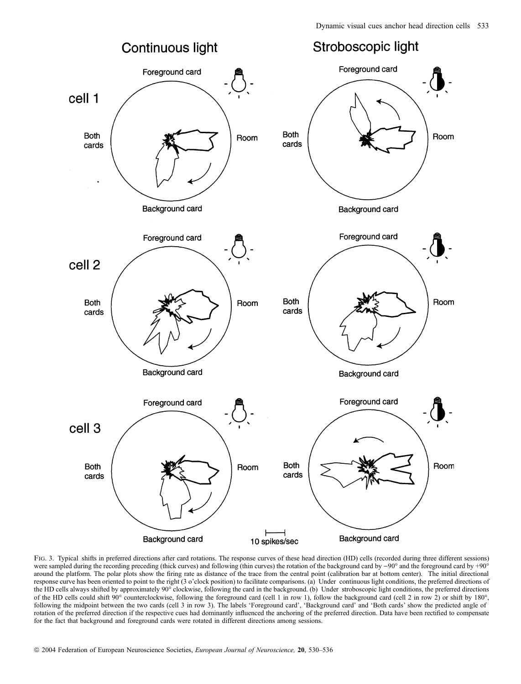

#### FIG. 3. Typical shifts in preferred directions after card rotations. The response curves of these head direction (HD) cells (recorded during three different sessions) were sampled during the recording preceding (thick curves) and following (thin curves) the rotation of the background card by  $-90^\circ$  and the foreground card by  $+90^\circ$ around the platform. The polar plots show the firing rate as distance of the trace from the central point (calibration bar at bottom center). The initial directional response curve has been oriented to point to the right (3 o'clock position) to facilitate comparisons. (a) Under continuous light conditions, the preferred directions of the HD cells always shifted by approximately 90° clockwise, following the card in the background. (b) Under stroboscopic light conditions, the preferred directions of the HD cells could shift 90 $^{\circ}$  counterclockwise, following the foreground card (cell 1 in row 1), follow the background card (cell 2 in row 2) or shift by 180 $^{\circ}$ , following the midpoint between the two cards (cell 3 in row 3). The labels 'Foreground card', 'Background card' and 'Both cards' show the predicted angle of rotation of the preferred direction if the respective cues had dominantly influenced the anchoring of the preferred direction. Data have been rectified to compensate for the fact that background and foreground cards were rotated in different directions among sessions.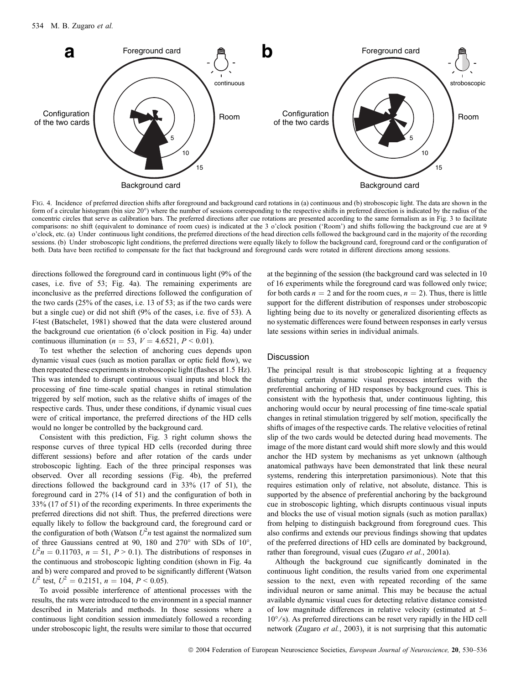

Fig. 4. Incidence of preferred direction shifts after foreground and background card rotations in (a) continuous and (b) stroboscopic light. The data are shown in the form of a circular histogram (bin size 20°) where the number of sessions corresponding to the respective shifts in preferred direction is indicated by the radius of the concentric circles that serve as calibration bars. The preferred directions after cue rotations are presented according to the same formalism as in Fig. 3 to facilitate comparisons: no shift (equivalent to dominance of room cues) is indicated at the 3 o'clock position ('Room') and shifts following the background cue are at 9 o'clock, etc. (a) Under continuous light conditions, the preferred directions of the head direction cells followed the background card in the majority of the recording sessions. (b) Under stroboscopic light conditions, the preferred directions were equally likely to follow the background card, foreground card or the configuration of both. Data have been rectified to compensate for the fact that background and foreground cards were rotated in different directions among sessions.

directions followed the foreground card in continuous light (9% of the cases, i.e. five of 53; Fig. 4a). The remaining experiments are inconclusive as the preferred directions followed the configuration of the two cards (25% of the cases, i.e. 13 of 53; as if the two cards were but a single cue) or did not shift (9% of the cases, i.e. five of 53). A V-test (Batschelet, 1981) showed that the data were clustered around the background cue orientation (6 o'clock position in Fig. 4a) under continuous illumination ( $n = 53$ ,  $V = 4.6521$ ,  $P < 0.01$ ).

To test whether the selection of anchoring cues depends upon dynamic visual cues (such as motion parallax or optic field flow), we then repeated these experiments in stroboscopic light (flashes at 1.5 Hz). This was intended to disrupt continuous visual inputs and block the processing of fine time-scale spatial changes in retinal stimulation triggered by self motion, such as the relative shifts of images of the respective cards. Thus, under these conditions, if dynamic visual cues were of critical importance, the preferred directions of the HD cells would no longer be controlled by the background card.

Consistent with this prediction, Fig. 3 right column shows the response curves of three typical HD cells (recorded during three different sessions) before and after rotation of the cards under stroboscopic lighting. Each of the three principal responses was observed. Over all recording sessions (Fig. 4b), the preferred directions followed the background card in 33% (17 of 51), the foreground card in 27% (14 of 51) and the configuration of both in 33% (17 of 51) of the recording experiments. In three experiments the preferred directions did not shift. Thus, the preferred directions were equally likely to follow the background card, the foreground card or the configuration of both (Watson  $U^2n$  test against the normalized sum of three Gaussians centred at 90, 180 and 270 $^{\circ}$  with SDs of 10 $^{\circ}$ ,  $U^2 n = 0.11703$ ,  $n = 51$ ,  $P > 0.1$ ). The distributions of responses in the continuous and stroboscopic lighting condition (shown in Fig. 4a and b) were compared and proved to be significantly different (Watson  $U^2$  test,  $U^2 = 0.2151$ ,  $n = 104$ ,  $P < 0.05$ ).

To avoid possible interference of attentional processes with the results, the rats were introduced to the environment in a special manner described in Materials and methods. In those sessions where a continuous light condition session immediately followed a recording under stroboscopic light, the results were similar to those that occurred

at the beginning of the session (the background card was selected in 10 of 16 experiments while the foreground card was followed only twice; for both cards  $n = 2$  and for the room cues,  $n = 2$ ). Thus, there is little support for the different distribution of responses under stroboscopic lighting being due to its novelty or generalized disorienting effects as no systematic differences were found between responses in early versus late sessions within series in individual animals.

#### **Discussion**

The principal result is that stroboscopic lighting at a frequency disturbing certain dynamic visual processes interferes with the preferential anchoring of HD responses by background cues. This is consistent with the hypothesis that, under continuous lighting, this anchoring would occur by neural processing of fine time-scale spatial changes in retinal stimulation triggered by self motion, specifically the shifts of images of the respective cards. The relative velocities of retinal slip of the two cards would be detected during head movements. The image of the more distant card would shift more slowly and this would anchor the HD system by mechanisms as yet unknown (although anatomical pathways have been demonstrated that link these neural systems, rendering this interpretation parsimonious). Note that this requires estimation only of relative, not absolute, distance. This is supported by the absence of preferential anchoring by the background cue in stroboscopic lighting, which disrupts continuous visual inputs and blocks the use of visual motion signals (such as motion parallax) from helping to distinguish background from foreground cues. This also confirms and extends our previous findings showing that updates of the preferred directions of HD cells are dominated by background, rather than foreground, visual cues (Zugaro et al., 2001a).

Although the background cue significantly dominated in the continuous light condition, the results varied from one experimental session to the next, even with repeated recording of the same individual neuron or same animal. This may be because the actual available dynamic visual cues for detecting relative distance consisted of low magnitude differences in relative velocity (estimated at 5–  $10^{\circ}/s$ ). As preferred directions can be reset very rapidly in the HD cell network (Zugaro et al., 2003), it is not surprising that this automatic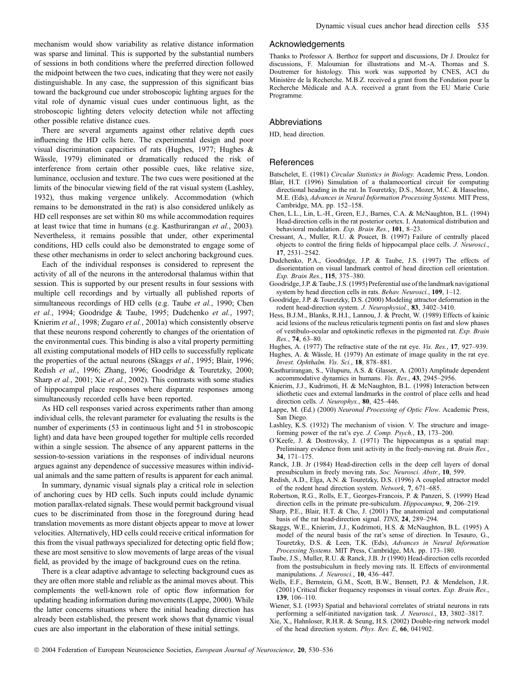mechanism would show variability as relative distance information was sparse and liminal. This is supported by the substantial numbers of sessions in both conditions where the preferred direction followed the midpoint between the two cues, indicating that they were not easily distinguishable. In any case, the suppression of this significant bias toward the background cue under stroboscopic lighting argues for the vital role of dynamic visual cues under continuous light, as the stroboscopic lighting deters velocity detection while not affecting other possible relative distance cues.

There are several arguments against other relative depth cues influencing the HD cells here. The experimental design and poor visual discrimination capacities of rats (Hughes, 1977; Hughes & Wässle, 1979) eliminated or dramatically reduced the risk of interference from certain other possible cues, like relative size, luminance, occlusion and texture. The two cues were positioned at the limits of the binocular viewing field of the rat visual system (Lashley, 1932), thus making vergence unlikely. Accommodation (which remains to be demonstrated in the rat) is also considered unlikely as HD cell responses are set within 80 ms while accommodation requires at least twice that time in humans (e.g. Kasthurirangan et al., 2003). Nevertheless, it remains possible that under, other experimental conditions, HD cells could also be demonstrated to engage some of these other mechanisms in order to select anchoring background cues.

Each of the individual responses is considered to represent the activity of all of the neurons in the anterodorsal thalamus within that session. This is supported by our present results in four sessions with multiple cell recordings and by virtually all published reports of simultaneous recordings of HD cells (e.g. Taube et al., 1990; Chen et al., 1994; Goodridge & Taube, 1995; Dudchenko et al., 1997; Knierim et al., 1998; Zugaro et al., 2001a) which consistently observe that these neurons respond coherently to changes of the orientation of the environmental cues. This binding is also a vital property permitting all existing computational models of HD cells to successfully replicate the properties of the actual neurons (Skaggs et al., 1995; Blair, 1996; Redish et al., 1996; Zhang, 1996; Goodridge & Touretzky, 2000; Sharp et al., 2001; Xie et al., 2002). This contrasts with some studies of hippocampal place responses where disparate responses among simultaneously recorded cells have been reported.

As HD cell responses varied across experiments rather than among individual cells, the relevant parameter for evaluating the results is the number of experiments (53 in continuous light and 51 in stroboscopic light) and data have been grouped together for multiple cells recorded within a single session. The absence of any apparent patterns in the session-to-session variations in the responses of individual neurons argues against any dependence of successive measures within individual animals and the same pattern of results is apparent for each animal.

In summary, dynamic visual signals play a critical role in selection of anchoring cues by HD cells. Such inputs could include dynamic motion parallax-related signals. These would permit background visual cues to be discriminated from those in the foreground during head translation movements as more distant objects appear to move at lower velocities. Alternatively, HD cells could receive critical information for this from the visual pathways specialized for detecting optic field flow; these are most sensitive to slow movements of large areas of the visual field, as provided by the image of background cues on the retina.

There is a clear adaptive advantage to selecting background cues as they are often more stable and reliable as the animal moves about. This complements the well-known role of optic flow information for updating heading information during movements (Lappe, 2000). While the latter concerns situations where the initial heading direction has already been established, the present work shows that dynamic visual cues are also important in the elaboration of these initial settings.

#### Acknowledgements

Thanks to Professor A. Berthoz for support and discussions, Dr J. Droulez for discussions, F. Maloumian for illustrations and M.-A. Thomas and S. Doutremer for histology. This work was supported by CNES, ACI du Ministère de la Recherche. M.B.Z. received a grant from the Fondation pour la Recherche Médicale and A.A. received a grant from the EU Marie Curie Programme.

## Abbreviations

HD, head direction.

#### **References**

- Batschelet, E. (1981) Circular Statistics in Biology. Academic Press, London. Blair, H.T. (1996) Simulation of a thalamocortical circuit for computing directional heading in the rat. In Touretzky, D.S., Mozer, M.C. & Hasselmo, M.E. (Eds), Advances in Neural Information Processing Systems. MIT Press, Cambridge, MA. pp. 152–158.
- Chen, L.L., Lin, L.-H., Green, E.J., Barnes, C.A. & McNaughton, B.L. (1994) Head-direction cells in the rat posterior cortex. I. Anatomical distribution and behavioral modulation. Exp. Brain Res., 101, 8–23.
- Cressant, A., Muller, R.U. & Poucet, B. (1997) Failure of centrally placed objects to control the firing fields of hippocampal place cells. J. Neurosci., 17, 2531–2542.
- Dudchenko, P.A., Goodridge, J.P. & Taube, J.S. (1997) The effects of disorientation on visual landmark control of head direction cell orientation. Exp. Brain Res., 115, 375–380.
- Goodridge, J.P. & Taube, J.S. (1995) Preferential use of the landmark navigational system by head direction cells in rats. Behav. Neurosci., 109, 1–12.
- Goodridge, J.P. & Touretzky, D.S. (2000) Modeling attractor deformation in the rodent head-direction system. J. Neurophysiol., 83, 3402–3410.
- Hess, B.J.M., Blanks, R.H.I., Lannou, J. & Precht, W. (1989) Effects of kainic acid lesions of the nucleus reticularis tegmenti pontis on fast and slow phases of vestibulo-ocular and optokinetic reflexes in the pigmented rat. Exp. Brain Res., 74, 63–80.
- Hughes, A. (1977) The refractive state of the rat eye. Vis. Res., 17, 927–939.
- Hughes, A. & Wässle, H. (1979) An estimate of image quality in the rat eye. Invest. Ophthalm. Vis. Sci., 18, 878–881.
- Kasthurirangan, S., Vilupuru, A.S. & Glasser, A. (2003) Amplitude dependent accommodative dynamics in humans. Vis. Res., 43, 2945–2956.
- Knierim, J.J., Kudrimoti, H. & McNaughton, B.L. (1998) Interaction between idiothetic cues and external landmarks in the control of place cells and head direction cells. J. Neurophys., 80, 425-446.
- Lappe, M. (Ed.) (2000) Neuronal Processing of Optic Flow. Academic Press, San Diego.
- Lashley, K.S. (1932) The mechanism of vision. V. The structure and imageforming power of the rat's eye. J. Comp. Psych., 13, 173–200.
- O'Keefe, J. & Dostrovsky, J. (1971) The hippocampus as a spatial map: Preliminary evidence from unit activity in the freely-moving rat. Brain Res., 34, 171–175.
- Ranck, J.B. Jr (1984) Head-direction cells in the deep cell layers of dorsal presubiculum in freely moving rats. Soc. Neurosci. Abstr., 10, 599.
- Redish, A.D., Elga, A.N. & Touretzky, D.S. (1996) A coupled attractor model of the rodent head direction system. Network, 7, 671–685.
- Robertson, R.G., Rolls, E.T., Georges-Francois, P. & Panzeri, S. (1999) Head direction cells in the primate pre-subiculum. Hippocampus, 9, 206–219.
- Sharp, P.E., Blair, H.T. & Cho, J. (2001) The anatomical and computational basis of the rat head-direction signal. TINS, 24, 289–294.
- Skaggs, W.E., Knierim, J.J., Kudrimoti, H.S. & McNaughton, B.L. (1995) A model of the neural basis of the rat's sense of direction. In Tesauro, G., Touretzky, D.S. & Leen, T.K. (Eds), Advances in Neural Information Processing Systems. MIT Press, Cambridge, MA. pp. 173–180.
- Taube, J.S., Muller, R.U. & Ranck, J.B. Jr (1990) Head-direction cells recorded from the postsubiculum in freely moving rats. II. Effects of environmental manipulations. J. Neurosci., 10, 436-447.
- Wells, E.F., Bernstein, G.M., Scott, B.W., Bennett, P.J. & Mendelson, J.R. (2001) Critical flicker frequency responses in visual cortex. Exp. Brain Res., 139, 106–110.
- Wiener, S.I. (1993) Spatial and behavioral correlates of striatal neurons in rats performing a self-initiated navigation task. J. Neurosci., 13, 3802–3817.
- Xie, X., Hahnloser, R.H.R. & Seung, H.S. (2002) Double-ring network model of the head direction system. Phys. Rev. E, 66, 041902.